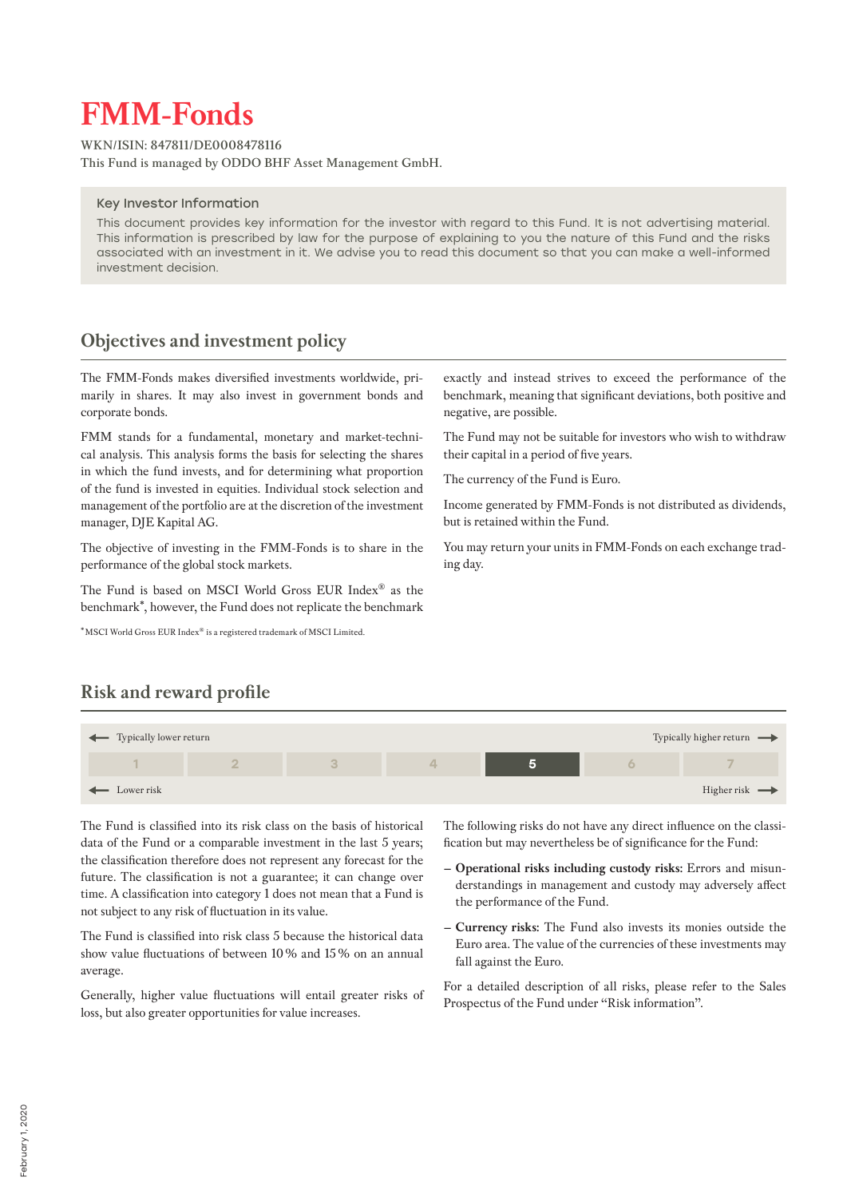# **FMM-Fonds**

**WKN/ISIN: 847811/DE0008478116 This Fund is managed by ODDO BHF Asset Management GmbH.**

#### Key Investor Information

This document provides key information for the investor with regard to this Fund. It is not advertising material. This information is prescribed by law for the purpose of explaining to you the nature of this Fund and the risks associated with an investment in it. We advise you to read this document so that you can make a well-informed investment decision.

## **Objectives and investment policy**

The FMM-Fonds makes diversified investments worldwide, primarily in shares. It may also invest in government bonds and corporate bonds.

FMM stands for a fundamental, monetary and market-technical analysis. This analysis forms the basis for selecting the shares in which the fund invests, and for determining what proportion of the fund is invested in equities. Individual stock selection and management of the portfolio are at the discretion of the investment manager, DJE Kapital AG.

The objective of investing in the FMM-Fonds is to share in the performance of the global stock markets.

The Fund is based on MSCI World Gross EUR Index® as the benchmark\*, however, the Fund does not replicate the benchmark

\*MSCI World Gross EUR Index® is a registered trademark of MSCI Limited.

exactly and instead strives to exceed the performance of the benchmark, meaning that significant deviations, both positive and negative, are possible.

The Fund may not be suitable for investors who wish to withdraw their capital in a period of five years.

The currency of the Fund is Euro.

Income generated by FMM-Fonds is not distributed as dividends, but is retained within the Fund.

You may return your units in FMM-Fonds on each exchange trading day.

# **Risk and reward profile**



The Fund is classified into its risk class on the basis of historical data of the Fund or a comparable investment in the last 5 years; the classification therefore does not represent any forecast for the future. The classification is not a guarantee; it can change over time. A classification into category 1 does not mean that a Fund is not subject to any risk of fluctuation in its value.

The Fund is classified into risk class 5 because the historical data show value fluctuations of between 10% and 15% on an annual average.

Generally, higher value fluctuations will entail greater risks of loss, but also greater opportunities for value increases.

The following risks do not have any direct influence on the classification but may nevertheless be of significance for the Fund:

- **– Operational risks including custody risks:** Errors and misunderstandings in management and custody may adversely affect the performance of the Fund.
- **– Currency risks:** The Fund also invests its monies outside the Euro area. The value of the currencies of these investments may fall against the Euro.

For a detailed description of all risks, please refer to the Sales Prospectus of the Fund under "Risk information".